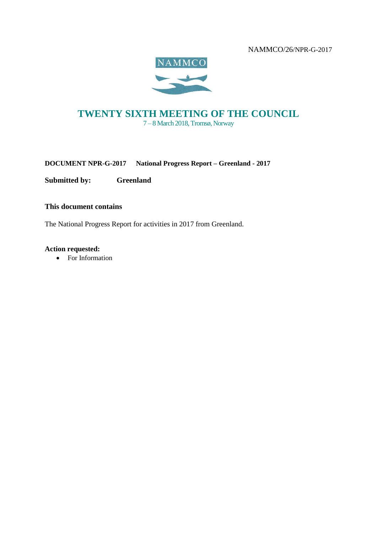

# **TWENTY SIXTH MEETING OF THE COUNCIL** 7 – 8 March 2018, Tromsø, Norway

**DOCUMENT NPR-G-2017 National Progress Report – Greenland - 2017**

**Submitted by: Greenland**

**This document contains**

The National Progress Report for activities in 2017 from Greenland.

**Action requested:** 

• For Information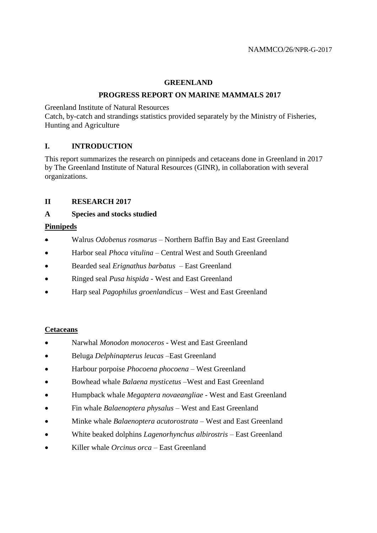### **GREENLAND**

### **PROGRESS REPORT ON MARINE MAMMALS 2017**

Greenland Institute of Natural Resources

Catch, by-catch and strandings statistics provided separately by the Ministry of Fisheries, Hunting and Agriculture

## **I. INTRODUCTION**

This report summarizes the research on pinnipeds and cetaceans done in Greenland in 2017 by The Greenland Institute of Natural Resources (GINR), in collaboration with several organizations.

### **II RESEARCH 2017**

### **A Species and stocks studied**

### **Pinnipeds**

- Walrus *Odobenus rosmarus –* Northern Baffin Bay and East Greenland
- Harbor seal *Phoca vitulina* Central West and South Greenland
- Bearded seal *Erignathus barbatus* East Greenland
- Ringed seal *Pusa hispida* West and East Greenland
- Harp seal *Pagophilus groenlandicus* West and East Greenland

#### **Cetaceans**

- Narwhal *Monodon monoceros* West and East Greenland
- Beluga *Delphinapterus leucas –*East Greenland
- Harbour porpoise *Phocoena phocoena* West Greenland
- Bowhead whale *Balaena mysticetus* –West and East Greenland
- Humpback whale *Megaptera novaeangliae* West and East Greenland
- Fin whale *Balaenoptera physalus*  West and East Greenland
- Minke whale *Balaenoptera acutorostrata* West and East Greenland
- White beaked dolphins *Lagenorhynchus albirostris*  East Greenland
- Killer whale *Orcinus orca*  East Greenland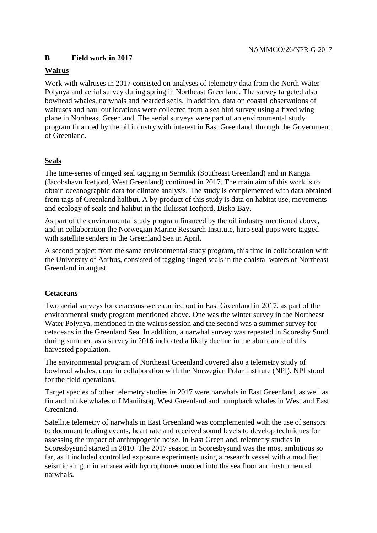## **B Field work in 2017**

## **Walrus**

Work with walruses in 2017 consisted on analyses of telemetry data from the North Water Polynya and aerial survey during spring in Northeast Greenland. The survey targeted also bowhead whales, narwhals and bearded seals. In addition, data on coastal observations of walruses and haul out locations were collected from a sea bird survey using a fixed wing plane in Northeast Greenland. The aerial surveys were part of an environmental study program financed by the oil industry with interest in East Greenland, through the Government of Greenland.

## **Seals**

The time-series of ringed seal tagging in Sermilik (Southeast Greenland) and in Kangia (Jacobshavn Icefjord, West Greenland) continued in 2017. The main aim of this work is to obtain oceanographic data for climate analysis. The study is complemented with data obtained from tags of Greenland halibut. A by-product of this study is data on habitat use, movements and ecology of seals and halibut in the Ilulissat Icefjord, Disko Bay.

As part of the environmental study program financed by the oil industry mentioned above, and in collaboration the Norwegian Marine Research Institute, harp seal pups were tagged with satellite senders in the Greenland Sea in April.

A second project from the same environmental study program, this time in collaboration with the University of Aarhus, consisted of tagging ringed seals in the coalstal waters of Northeast Greenland in august.

## **Cetaceans**

Two aerial surveys for cetaceans were carried out in East Greenland in 2017, as part of the environmental study program mentioned above. One was the winter survey in the Northeast Water Polynya, mentioned in the walrus session and the second was a summer survey for cetaceans in the Greenland Sea. In addition, a narwhal survey was repeated in Scoresby Sund during summer, as a survey in 2016 indicated a likely decline in the abundance of this harvested population.

The environmental program of Northeast Greenland covered also a telemetry study of bowhead whales, done in collaboration with the Norwegian Polar Institute (NPI). NPI stood for the field operations.

Target species of other telemetry studies in 2017 were narwhals in East Greenland, as well as fin and minke whales off Maniitsoq, West Greenland and humpback whales in West and East Greenland.

Satellite telemetry of narwhals in East Greenland was complemented with the use of sensors to document feeding events, heart rate and received sound levels to develop techniques for assessing the impact of anthropogenic noise. In East Greenland, telemetry studies in Scoresbysund started in 2010. The 2017 season in Scoresbysund was the most ambitious so far, as it included controlled exposure experiments using a research vessel with a modified seismic air gun in an area with hydrophones moored into the sea floor and instrumented narwhals.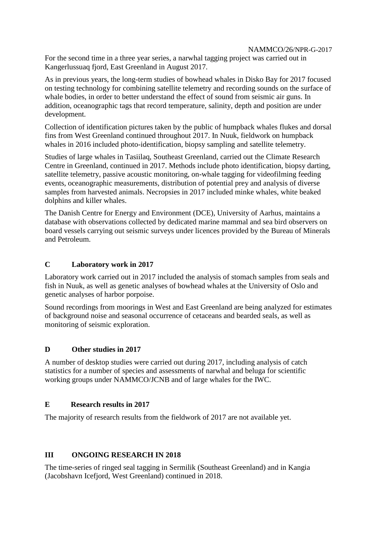For the second time in a three year series, a narwhal tagging project was carried out in Kangerlussuaq fjord, East Greenland in August 2017.

As in previous years, the long-term studies of bowhead whales in Disko Bay for 2017 focused on testing technology for combining satellite telemetry and recording sounds on the surface of whale bodies, in order to better understand the effect of sound from seismic air guns. In addition, oceanographic tags that record temperature, salinity, depth and position are under development.

Collection of identification pictures taken by the public of humpback whales flukes and dorsal fins from West Greenland continued throughout 2017. In Nuuk, fieldwork on humpback whales in 2016 included photo-identification, biopsy sampling and satellite telemetry.

Studies of large whales in Tasiilaq, Southeast Greenland, carried out the Climate Research Centre in Greenland, continued in 2017. Methods include photo identification, biopsy darting, satellite telemetry, passive acoustic monitoring, on-whale tagging for videofilming feeding events, oceanographic measurements, distribution of potential prey and analysis of diverse samples from harvested animals. Necropsies in 2017 included minke whales, white beaked dolphins and killer whales.

The Danish Centre for Energy and Environment (DCE), University of Aarhus, maintains a database with observations collected by dedicated marine mammal and sea bird observers on board vessels carrying out seismic surveys under licences provided by the Bureau of Minerals and Petroleum.

### **C Laboratory work in 2017**

Laboratory work carried out in 2017 included the analysis of stomach samples from seals and fish in Nuuk, as well as genetic analyses of bowhead whales at the University of Oslo and genetic analyses of harbor porpoise.

Sound recordings from moorings in West and East Greenland are being analyzed for estimates of background noise and seasonal occurrence of cetaceans and bearded seals, as well as monitoring of seismic exploration.

#### **D Other studies in 2017**

A number of desktop studies were carried out during 2017, including analysis of catch statistics for a number of species and assessments of narwhal and beluga for scientific working groups under NAMMCO/JCNB and of large whales for the IWC.

#### **E Research results in 2017**

The majority of research results from the fieldwork of 2017 are not available yet.

## **III ONGOING RESEARCH IN 2018**

The time-series of ringed seal tagging in Sermilik (Southeast Greenland) and in Kangia (Jacobshavn Icefjord, West Greenland) continued in 2018.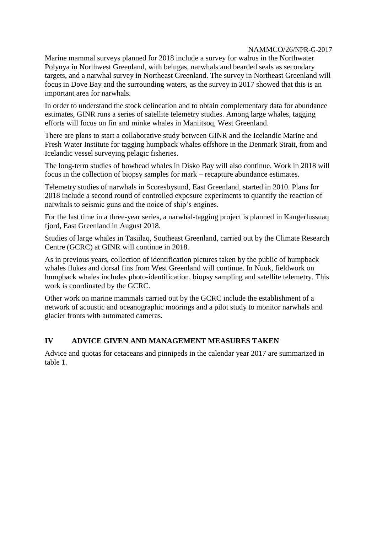Marine mammal surveys planned for 2018 include a survey for walrus in the Northwater Polynya in Northwest Greenland, with belugas, narwhals and bearded seals as secondary targets, and a narwhal survey in Northeast Greenland. The survey in Northeast Greenland will focus in Dove Bay and the surrounding waters, as the survey in 2017 showed that this is an important area for narwhals.

In order to understand the stock delineation and to obtain complementary data for abundance estimates, GINR runs a series of satellite telemetry studies. Among large whales, tagging efforts will focus on fin and minke whales in Maniitsoq, West Greenland.

There are plans to start a collaborative study between GINR and the Icelandic Marine and Fresh Water Institute for tagging humpback whales offshore in the Denmark Strait, from and Icelandic vessel surveying pelagic fisheries.

The long-term studies of bowhead whales in Disko Bay will also continue. Work in 2018 will focus in the collection of biopsy samples for mark – recapture abundance estimates.

Telemetry studies of narwhals in Scoresbysund, East Greenland, started in 2010. Plans for 2018 include a second round of controlled exposure experiments to quantify the reaction of narwhals to seismic guns and the noice of ship's engines.

For the last time in a three-year series, a narwhal-tagging project is planned in Kangerlussuaq fjord, East Greenland in August 2018.

Studies of large whales in Tasiilaq, Southeast Greenland, carried out by the Climate Research Centre (GCRC) at GINR will continue in 2018.

As in previous years, collection of identification pictures taken by the public of humpback whales flukes and dorsal fins from West Greenland will continue. In Nuuk, fieldwork on humpback whales includes photo-identification, biopsy sampling and satellite telemetry. This work is coordinated by the GCRC.

Other work on marine mammals carried out by the GCRC include the establishment of a network of acoustic and oceanographic moorings and a pilot study to monitor narwhals and glacier fronts with automated cameras.

## **IV ADVICE GIVEN AND MANAGEMENT MEASURES TAKEN**

Advice and quotas for cetaceans and pinnipeds in the calendar year 2017 are summarized in table 1.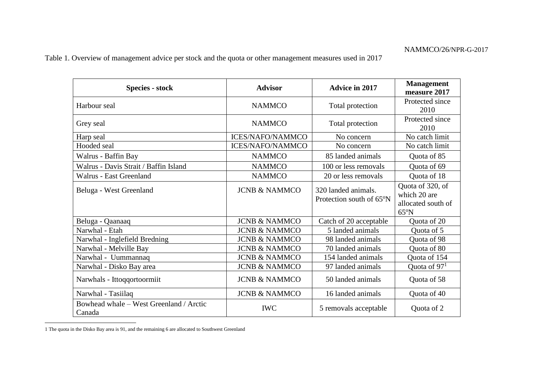Table 1. Overview of management advice per stock and the quota or other management measures used in 2017

| <b>Species - stock</b>                            | <b>Advisor</b>           | <b>Advice in 2017</b>                                        | <b>Management</b><br>measure 2017                                        |
|---------------------------------------------------|--------------------------|--------------------------------------------------------------|--------------------------------------------------------------------------|
| Harbour seal                                      | <b>NAMMCO</b>            | Total protection                                             | Protected since<br>2010                                                  |
| Grey seal                                         | <b>NAMMCO</b>            | Total protection                                             | Protected since<br>2010                                                  |
| Harp seal                                         | <b>ICES/NAFO/NAMMCO</b>  | No concern                                                   | No catch limit                                                           |
| Hooded seal                                       | <b>ICES/NAFO/NAMMCO</b>  | No concern                                                   | No catch limit                                                           |
| Walrus - Baffin Bay                               | <b>NAMMCO</b>            | 85 landed animals                                            | Quota of 85                                                              |
| Walrus - Davis Strait / Baffin Island             | <b>NAMMCO</b>            | 100 or less removals                                         | Quota of 69                                                              |
| Walrus - East Greenland                           | <b>NAMMCO</b>            | 20 or less removals                                          | Quota of 18                                                              |
| Beluga - West Greenland                           | <b>JCNB &amp; NAMMCO</b> | 320 landed animals.<br>Protection south of 65 <sup>o</sup> N | Quota of 320, of<br>which 20 are<br>allocated south of<br>$65^{\circ}$ N |
| Beluga - Qaanaaq                                  | <b>JCNB &amp; NAMMCO</b> | Catch of 20 acceptable                                       | Quota of 20                                                              |
| Narwhal - Etah                                    | <b>JCNB &amp; NAMMCO</b> | 5 landed animals                                             | Quota of 5                                                               |
| Narwhal - Inglefield Bredning                     | <b>JCNB &amp; NAMMCO</b> | 98 landed animals                                            | Quota of 98                                                              |
| Narwhal - Melville Bay                            | <b>JCNB &amp; NAMMCO</b> | 70 landed animals                                            | Quota of 80                                                              |
| Narwhal - Uummannaq                               | <b>JCNB &amp; NAMMCO</b> | 154 landed animals                                           | Quota of 154                                                             |
| Narwhal - Disko Bay area                          | <b>JCNB &amp; NAMMCO</b> | 97 landed animals                                            | Quota of $971$                                                           |
| Narwhals - Ittoqqortoormiit                       | <b>JCNB &amp; NAMMCO</b> | 50 landed animals                                            | Quota of 58                                                              |
| Narwhal - Tasiilaq                                | <b>JCNB &amp; NAMMCO</b> | 16 landed animals                                            | Quota of 40                                                              |
| Bowhead whale - West Greenland / Arctic<br>Canada | <b>IWC</b>               | 5 removals acceptable                                        | Quota of 2                                                               |

<sup>1</sup> The quota in the Disko Bay area is 91, and the remaining 6 are allocated to Southwest Greenland

 $\overline{a}$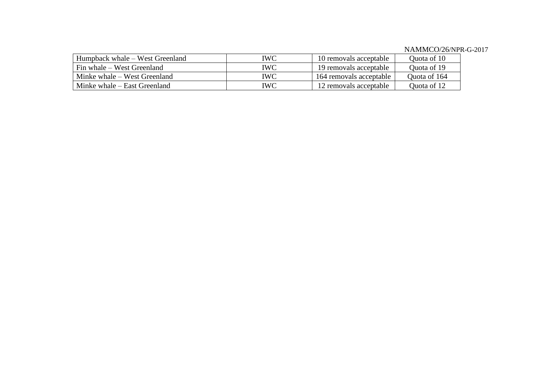| Humpback whale – West Greenland | IWC        | 10 removals acceptable  | Ouota of 10  |
|---------------------------------|------------|-------------------------|--------------|
| Fin whale – West Greenland      | IWC        | 19 removals acceptable  | Ouota of 19  |
| Minke whale – West Greenland    | <b>IWC</b> | 164 removals acceptable | Quota of 164 |
| Minke whale – East Greenland    | IWC        | 12 removals acceptable  | Ouota of 12  |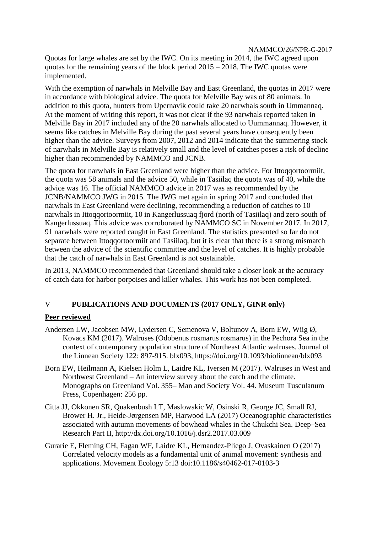Quotas for large whales are set by the IWC. On its meeting in 2014, the IWC agreed upon quotas for the remaining years of the block period  $2015 - 2018$ . The IWC quotas were implemented.

With the exemption of narwhals in Melville Bay and East Greenland, the quotas in 2017 were in accordance with biological advice. The quota for Melville Bay was of 80 animals. In addition to this quota, hunters from Upernavik could take 20 narwhals south in Ummannaq. At the moment of writing this report, it was not clear if the 93 narwhals reported taken in Melville Bay in 2017 included any of the 20 narwhals allocated to Uummannaq. However, it seems like catches in Melville Bay during the past several years have consequently been higher than the advice. Surveys from 2007, 2012 and 2014 indicate that the summering stock of narwhals in Melville Bay is relatively small and the level of catches poses a risk of decline higher than recommended by NAMMCO and JCNB.

The quota for narwhals in East Greenland were higher than the advice. For Ittoqqortoormiit, the quota was 58 animals and the advice 50, while in Tasiilaq the quota was of 40, while the advice was 16. The official NAMMCO advice in 2017 was as recommended by the JCNB/NAMMCO JWG in 2015. The JWG met again in spring 2017 and concluded that narwhals in East Greenland were declining, recommending a reduction of catches to 10 narwhals in Ittoqqortoormiit, 10 in Kangerlussuaq fjord (north of Tasiilaq) and zero south of Kangerlussuaq. This advice was corroborated by NAMMCO SC in November 2017. In 2017, 91 narwhals were reported caught in East Greenland. The statistics presented so far do not separate between Ittoqqortoormiit and Tasiilaq, but it is clear that there is a strong mismatch between the advice of the scientific committee and the level of catches. It is highly probable that the catch of narwhals in East Greenland is not sustainable.

In 2013, NAMMCO recommended that Greenland should take a closer look at the accuracy of catch data for harbor porpoises and killer whales. This work has not been completed.

#### V **PUBLICATIONS AND DOCUMENTS (2017 ONLY, GINR only)**

#### **Peer reviewed**

- Andersen LW, Jacobsen MW, Lydersen C, Semenova V, Boltunov A, Born EW, Wiig Ø, Kovacs KM (2017). Walruses (Odobenus rosmarus rosmarus) in the Pechora Sea in the context of contemporary population structure of Northeast Atlantic walruses. Journal of the Linnean Society 122: 897-915. blx093, https://doi.org/10.1093/biolinnean/blx093
- Born EW, Heilmann A, Kielsen Holm L, Laidre KL, Iversen M (2017). Walruses in West and Northwest Greenland – An interview survey about the catch and the climate. Monographs on Greenland Vol. 355– Man and Society Vol. 44. Museum Tusculanum Press, Copenhagen: 256 pp.
- Citta JJ, Okkonen SR, Quakenbush LT, Maslowskic W, Osinski R, George JC, Small RJ, Brower H. Jr., Heide-Jørgensen MP, Harwood LA (2017) Oceanographic characteristics associated with autumn movements of bowhead whales in the Chukchi Sea. Deep–Sea Research Part II, http://dx.doi.org/10.1016/j.dsr2.2017.03.009
- Gurarie E, Fleming CH, Fagan WF, Laidre KL, Hernandez-Pliego J, Ovaskainen O (2017) Correlated velocity models as a fundamental unit of animal movement: synthesis and applications. Movement Ecology 5:13 doi:10.1186/s40462-017-0103-3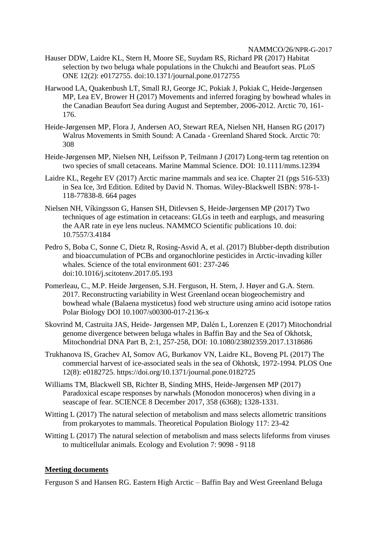- Hauser DDW, Laidre KL, Stern H, Moore SE, Suydam RS, Richard PR (2017) Habitat selection by two beluga whale populations in the Chukchi and Beaufort seas. PLoS ONE 12(2): e0172755. doi:10.1371/journal.pone.0172755
- Harwood LA, Quakenbush LT, Small RJ, George JC, Pokiak J, Pokiak C, Heide-Jørgensen MP, Lea EV, Brower H (2017) Movements and inferred foraging by bowhead whales in the Canadian Beaufort Sea during August and September, 2006-2012. Arctic 70, 161- 176.
- Heide-Jørgensen MP, Flora J, Andersen AO, Stewart REA, Nielsen NH, Hansen RG (2017) Walrus Movements in Smith Sound: A Canada - Greenland Shared Stock. Arctic 70: 308
- Heide-Jørgensen MP, Nielsen NH, Leifsson P, Teilmann J (2017) Long-term tag retention on two species of small cetaceans. Marine Mammal Science. DOI: 10.1111/mms.12394
- Laidre KL, Regehr EV (2017) Arctic marine mammals and sea ice. Chapter 21 (pgs 516-533) in Sea Ice, 3rd Edition. Edited by David N. Thomas. Wiley-Blackwell ISBN: 978-1- 118-77838-8. 664 pages
- Nielsen NH, Víkingsson G, Hansen SH, Ditlevsen S, Heide-Jørgensen MP (2017) Two techniques of age estimation in cetaceans: GLGs in teeth and earplugs, and measuring the AAR rate in eye lens nucleus. NAMMCO Scientific publications 10. doi: 10.7557/3.4184
- Pedro S, Boba C, Sonne C, Dietz R, Rosing-Asvid A, et al. (2017) Blubber-depth distribution and bioaccumulation of PCBs and organochlorine pesticides in Arctic-invading killer whales. Science of the total environment 601: 237-246 doi:10.1016/j.scitotenv.2017.05.193
- Pomerleau, C., M.P. Heide Jørgensen, S.H. Ferguson, H. Stern, J. Høyer and G.A. Stern. 2017. Reconstructing variability in West Greenland ocean biogeochemistry and bowhead whale (Balaena mysticetus) food web structure using amino acid isotope ratios Polar Biology DOI 10.1007/s00300-017-2136-x
- Skovrind M, Castruita JAS, Heide- Jørgensen MP, Dalén L, Lorenzen E (2017) Mitochondrial genome divergence between beluga whales in Baffin Bay and the Sea of Okhotsk, Mitochondrial DNA Part B, 2:1, 257-258, DOI: 10.1080/23802359.2017.1318686
- Trukhanova IS, Grachev AI, Somov AG, Burkanov VN, Laidre KL, Boveng PL (2017) The commercial harvest of ice-associated seals in the sea of Okhotsk, 1972-1994. PLOS One 12(8): e0182725. https://doi.org/10.1371/journal.pone.0182725
- Williams TM, Blackwell SB, Richter B, Sinding MHS, Heide-Jørgensen MP (2017) Paradoxical escape responses by narwhals (Monodon monoceros) when diving in a seascape of fear. SCIENCE 8 December 2017, 358 (6368); 1328-1331.
- Witting L (2017) The natural selection of metabolism and mass selects allometric transitions from prokaryotes to mammals. Theoretical Population Biology 117: 23-42
- Witting L (2017) The natural selection of metabolism and mass selects lifeforms from viruses to multicellular animals. Ecology and Evolution 7: 9098 - 9118

## **Meeting documents**

Ferguson S and Hansen RG. Eastern High Arctic – Baffin Bay and West Greenland Beluga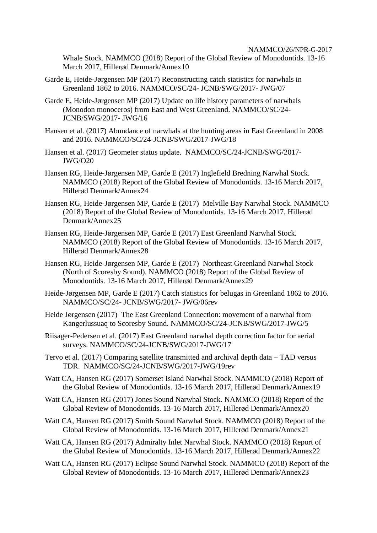Whale Stock. NAMMCO (2018) Report of the Global Review of Monodontids. 13-16 March 2017, Hillerød Denmark/Annex10

- Garde E, Heide-Jørgensen MP (2017) Reconstructing catch statistics for narwhals in Greenland 1862 to 2016. NAMMCO/SC/24- JCNB/SWG/2017- JWG/07
- Garde E, Heide-Jørgensen MP (2017) Update on life history parameters of narwhals (Monodon monoceros) from East and West Greenland. NAMMCO/SC/24- JCNB/SWG/2017- JWG/16
- Hansen et al. (2017) Abundance of narwhals at the hunting areas in East Greenland in 2008 and 2016. NAMMCO/SC/24-JCNB/SWG/2017-JWG/18
- Hansen et al. (2017) Geometer status update. NAMMCO/SC/24-JCNB/SWG/2017- JWG/O20
- Hansen RG, Heide-Jørgensen MP, Garde E (2017) Inglefield Bredning Narwhal Stock. NAMMCO (2018) Report of the Global Review of Monodontids. 13-16 March 2017, Hillerød Denmark/Annex24
- Hansen RG, Heide-Jørgensen MP, Garde E (2017) Melville Bay Narwhal Stock. NAMMCO (2018) Report of the Global Review of Monodontids. 13-16 March 2017, Hillerød Denmark/Annex25
- Hansen RG, Heide-Jørgensen MP, Garde E (2017) East Greenland Narwhal Stock. NAMMCO (2018) Report of the Global Review of Monodontids. 13-16 March 2017, Hillerød Denmark/Annex28
- Hansen RG, Heide-Jørgensen MP, Garde E (2017) Northeast Greenland Narwhal Stock (North of Scoresby Sound). NAMMCO (2018) Report of the Global Review of Monodontids. 13-16 March 2017, Hillerød Denmark/Annex29
- Heide-Jørgensen MP, Garde E (2017) Catch statistics for belugas in Greenland 1862 to 2016. NAMMCO/SC/24- JCNB/SWG/2017- JWG/06rev
- Heide Jørgensen (2017) The East Greenland Connection: movement of a narwhal from Kangerlussuaq to Scoresby Sound. NAMMCO/SC/24-JCNB/SWG/2017-JWG/5
- Riisager-Pedersen et al. (2017) East Greenland narwhal depth correction factor for aerial surveys. NAMMCO/SC/24-JCNB/SWG/2017-JWG/17
- Tervo et al. (2017) Comparing satellite transmitted and archival depth data TAD versus TDR. NAMMCO/SC/24-JCNB/SWG/2017-JWG/19rev
- Watt CA, Hansen RG (2017) Somerset Island Narwhal Stock. NAMMCO (2018) Report of the Global Review of Monodontids. 13-16 March 2017, Hillerød Denmark/Annex19
- Watt CA, Hansen RG (2017) Jones Sound Narwhal Stock. NAMMCO (2018) Report of the Global Review of Monodontids. 13-16 March 2017, Hillerød Denmark/Annex20
- Watt CA, Hansen RG (2017) Smith Sound Narwhal Stock. NAMMCO (2018) Report of the Global Review of Monodontids. 13-16 March 2017, Hillerød Denmark/Annex21
- Watt CA, Hansen RG (2017) Admiralty Inlet Narwhal Stock. NAMMCO (2018) Report of the Global Review of Monodontids. 13-16 March 2017, Hillerød Denmark/Annex22
- Watt CA, Hansen RG (2017) Eclipse Sound Narwhal Stock. NAMMCO (2018) Report of the Global Review of Monodontids. 13-16 March 2017, Hillerød Denmark/Annex23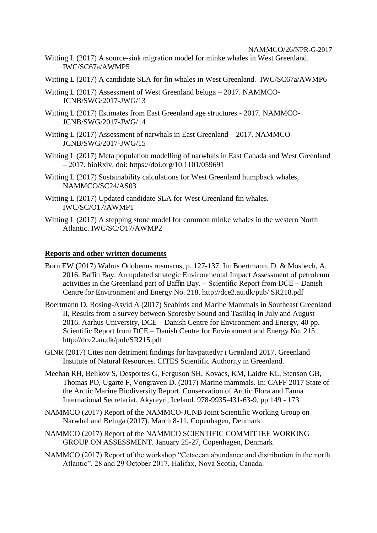- Witting L (2017) A source-sink migration model for minke whales in West Greenland. IWC/SC67a/AWMP5
- Witting L (2017) A candidate SLA for fin whales in West Greenland. IWC/SC67a/AWMP6
- Witting L (2017) Assessment of West Greenland beluga 2017. NAMMCO-JCNB/SWG/2017-JWG/13
- Witting L (2017) Estimates from East Greenland age structures 2017. NAMMCO-JCNB/SWG/2017-JWG/14
- Witting L (2017) Assessment of narwhals in East Greenland 2017. NAMMCO-JCNB/SWG/2017-JWG/15
- Witting L (2017) Meta population modelling of narwhals in East Canada and West Greenland – 2017. bioRxiv, doi: https://doi.org/10.1101/059691
- Witting L (2017) Sustainability calculations for West Greenland humpback whales, NAMMCO/SC24/AS03
- Witting L (2017) Updated candidate SLA for West Greenland fin whales. IWC/SC/O17/AWMP1
- Witting L (2017) A stepping stone model for common minke whales in the western North Atlantic. IWC/SC/O17/AWMP2

### **Reports and other written documents**

- Born EW (2017) Walrus Odobenus rosmarus, p. 127-137. In: Boertmann, D. & Mosbech, A. 2016. Baffin Bay. An updated strategic Environmental Impact Assessment of petroleum activities in the Greenland part of Baffin Bay. – Scientific Report from DCE – Danish Centre for Environment and Energy No. 218. http://dce2.au.dk/pub/ SR218.pdf
- Boertmann D, Rosing-Asvid A (2017) Seabirds and Marine Mammals in Southeast Greenland II, Results from a survey between Scoresby Sound and Tasiilaq in July and August 2016. Aarhus University, DCE – Danish Centre for Environment and Energy, 40 pp. Scientific Report from DCE – Danish Centre for Environment and Energy No. 215. http://dce2.au.dk/pub/SR215.pdf
- GINR (2017) Cites non detriment findings for havpattedyr i Grønland 2017. Greenland Institute of Natural Resources. CITES Scientific Authority in Greenland.
- Meehan RH, Belikov S, Desportes G, Ferguson SH, Kovacs, KM, Laidre KL, Stenson GB, Thomas PO, Ugarte F, Vongraven D. (2017) Marine mammals. In: CAFF 2017 State of the Arctic Marine Biodiversity Report. Conservation of Arctic Flora and Fauna International Secretariat, Akyreyri, Iceland. 978-9935-431-63-9, pp 149 - 173
- NAMMCO (2017) Report of the NAMMCO-JCNB Joint Scientific Working Group on Narwhal and Beluga (2017). March 8-11, Copenhagen, Denmark
- NAMMCO (2017) Report of the NAMMCO SCIENTIFIC COMMITTEE WORKING GROUP ON ASSESSMENT. January 25-27, Copenhagen, Denmark
- NAMMCO (2017) Report of the workshop "Cetacean abundance and distribution in the north Atlantic". 28 and 29 October 2017, Halifax, Nova Scotia, Canada.